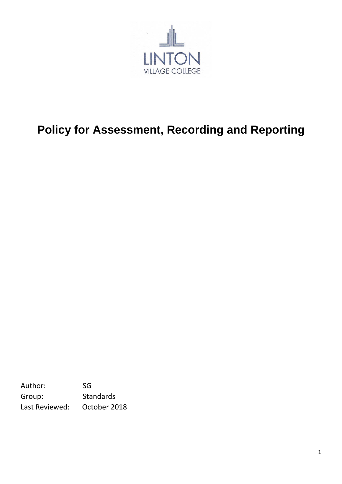

## **Policy for Assessment, Recording and Reporting**

Author: SG Group: Standards Last Reviewed: October 2018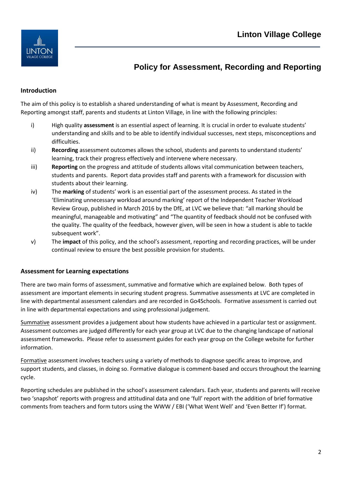

### **Policy for Assessment, Recording and Reporting**

#### **Introduction**

The aim of this policy is to establish a shared understanding of what is meant by Assessment, Recording and Reporting amongst staff, parents and students at Linton Village, in line with the following principles:

- i) High quality **assessment** is an essential aspect of learning. It is crucial in order to evaluate students' understanding and skills and to be able to identify individual successes, next steps, misconceptions and difficulties.
- ii) **Recording** assessment outcomes allows the school, students and parents to understand students' learning, track their progress effectively and intervene where necessary.
- iii) **Reporting** on the progress and attitude of students allows vital communication between teachers, students and parents. Report data provides staff and parents with a framework for discussion with students about their learning.
- iv) The **marking** of students' work is an essential part of the assessment process. As stated in the 'Eliminating unnecessary workload around marking' report of the Independent Teacher Workload Review Group, published in March 2016 by the DfE, at LVC we believe that: "all marking should be meaningful, manageable and motivating" and "The quantity of feedback should not be confused with the quality. The quality of the feedback, however given, will be seen in how a student is able to tackle subsequent work".
- v) The **impact** of this policy, and the school's assessment, reporting and recording practices, will be under continual review to ensure the best possible provision for students.

#### **Assessment for Learning expectations**

There are two main forms of assessment, summative and formative which are explained below. Both types of assessment are important elements in securing student progress. Summative assessments at LVC are completed in line with departmental assessment calendars and are recorded in Go4Schools. Formative assessment is carried out in line with departmental expectations and using professional judgement.

Summative assessment provides a judgement about how students have achieved in a particular test or assignment. Assessment outcomes are judged differently for each year group at LVC due to the changing landscape of national assessment frameworks. Please refer to assessment guides for each year group on the College website for further information.

Formative assessment involves teachers using a variety of methods to diagnose specific areas to improve, and support students, and classes, in doing so. Formative dialogue is comment-based and occurs throughout the learning cycle.

Reporting schedules are published in the school's assessment calendars. Each year, students and parents will receive two 'snapshot' reports with progress and attitudinal data and one 'full' report with the addition of brief formative comments from teachers and form tutors using the WWW / EBI ('What Went Well' and 'Even Better If') format.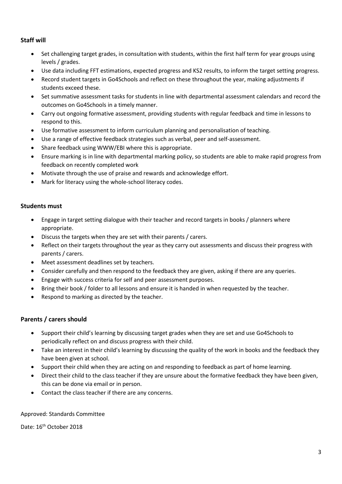#### **Staff will**

- Set challenging target grades, in consultation with students, within the first half term for year groups using levels / grades.
- Use data including FFT estimations, expected progress and KS2 results, to inform the target setting progress.
- Record student targets in Go4Schools and reflect on these throughout the year, making adjustments if students exceed these.
- Set summative assessment tasks for students in line with departmental assessment calendars and record the outcomes on Go4Schools in a timely manner.
- Carry out ongoing formative assessment, providing students with regular feedback and time in lessons to respond to this.
- Use formative assessment to inform curriculum planning and personalisation of teaching.
- Use a range of effective feedback strategies such as verbal, peer and self-assessment.
- Share feedback using WWW/EBI where this is appropriate.
- Ensure marking is in line with departmental marking policy, so students are able to make rapid progress from feedback on recently completed work
- Motivate through the use of praise and rewards and acknowledge effort.
- Mark for literacy using the whole-school literacy codes.

#### **Students must**

- Engage in target setting dialogue with their teacher and record targets in books / planners where appropriate.
- Discuss the targets when they are set with their parents / carers.
- Reflect on their targets throughout the year as they carry out assessments and discuss their progress with parents / carers.
- Meet assessment deadlines set by teachers.
- Consider carefully and then respond to the feedback they are given, asking if there are any queries.
- Engage with success criteria for self and peer assessment purposes.
- Bring their book / folder to all lessons and ensure it is handed in when requested by the teacher.
- Respond to marking as directed by the teacher.

#### **Parents / carers should**

- Support their child's learning by discussing target grades when they are set and use Go4Schools to periodically reflect on and discuss progress with their child.
- Take an interest in their child's learning by discussing the quality of the work in books and the feedback they have been given at school.
- Support their child when they are acting on and responding to feedback as part of home learning.
- Direct their child to the class teacher if they are unsure about the formative feedback they have been given, this can be done via email or in person.
- Contact the class teacher if there are any concerns.

#### Approved: Standards Committee

Date: 16<sup>th</sup> October 2018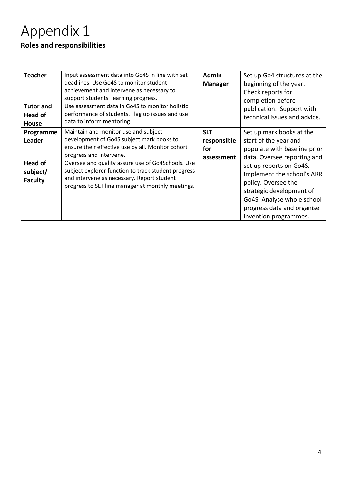## Appendix 1 **Roles and responsibilities**

| <b>Teacher</b><br><b>Tutor and</b><br>Head of<br><b>House</b> | Input assessment data into Go4S in line with set<br>deadlines. Use Go4S to monitor student<br>achievement and intervene as necessary to<br>support students' learning progress.<br>Use assessment data in Go4S to monitor holistic<br>performance of students. Flag up issues and use<br>data to inform mentoring. | <b>Admin</b><br><b>Manager</b>                 | Set up Go4 structures at the<br>beginning of the year.<br>Check reports for<br>completion before<br>publication. Support with<br>technical issues and advice.                                 |
|---------------------------------------------------------------|--------------------------------------------------------------------------------------------------------------------------------------------------------------------------------------------------------------------------------------------------------------------------------------------------------------------|------------------------------------------------|-----------------------------------------------------------------------------------------------------------------------------------------------------------------------------------------------|
| Programme<br><b>Leader</b>                                    | Maintain and monitor use and subject<br>development of Go4S subject mark books to<br>ensure their effective use by all. Monitor cohort<br>progress and intervene.                                                                                                                                                  | <b>SLT</b><br>responsible<br>for<br>assessment | Set up mark books at the<br>start of the year and<br>populate with baseline prior<br>data. Oversee reporting and                                                                              |
| <b>Head of</b><br>subject/<br><b>Faculty</b>                  | Oversee and quality assure use of Go4Schools. Use<br>subject explorer function to track student progress<br>and intervene as necessary. Report student<br>progress to SLT line manager at monthly meetings.                                                                                                        |                                                | set up reports on Go4S.<br>Implement the school's ARR<br>policy. Oversee the<br>strategic development of<br>Go4S. Analyse whole school<br>progress data and organise<br>invention programmes. |